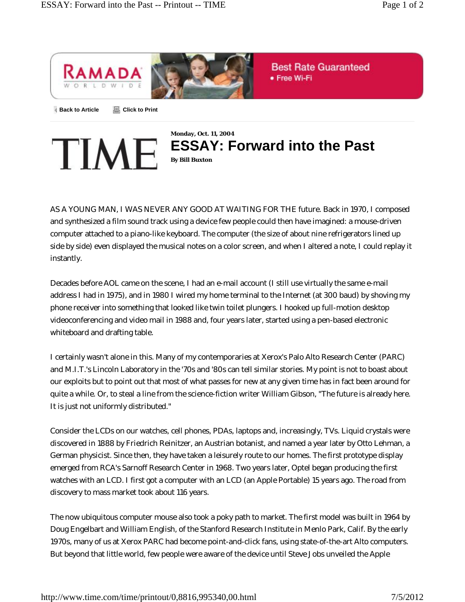

TIME



AS A YOUNG MAN, I WAS NEVER ANY GOOD AT WAITING FOR THE future. Back in 1970, I composed and synthesized a film sound track using a device few people could then have imagined: a mouse-driven computer attached to a piano-like keyboard. The computer (the size of about nine refrigerators lined up side by side) even displayed the musical notes on a color screen, and when I altered a note, I could replay it instantly.

Decades before AOL came on the scene, I had an e-mail account (I still use virtually the same e-mail address I had in 1975), and in 1980 I wired my home terminal to the Internet (at 300 baud) by shoving my phone receiver into something that looked like twin toilet plungers. I hooked up full-motion desktop videoconferencing and video mail in 1988 and, four years later, started using a pen-based electronic whiteboard and drafting table.

I certainly wasn't alone in this. Many of my contemporaries at Xerox's Palo Alto Research Center (PARC) and M.I.T.'s Lincoln Laboratory in the '70s and '80s can tell similar stories. My point is not to boast about our exploits but to point out that most of what passes for new at any given time has in fact been around for quite a while. Or, to steal a line from the science-fiction writer William Gibson, "The future is already here. It is just not uniformly distributed."

Consider the LCDs on our watches, cell phones, PDAs, laptops and, increasingly, TVs. Liquid crystals were discovered in 1888 by Friedrich Reinitzer, an Austrian botanist, and named a year later by Otto Lehman, a German physicist. Since then, they have taken a leisurely route to our homes. The first prototype display emerged from RCA's Sarnoff Research Center in 1968. Two years later, Optel began producing the first watches with an LCD. I first got a computer with an LCD (an Apple Portable) 15 years ago. The road from discovery to mass market took about 116 years.

The now ubiquitous computer mouse also took a poky path to market. The first model was built in 1964 by Doug Engelbart and William English, of the Stanford Research Institute in Menlo Park, Calif. By the early 1970s, many of us at Xerox PARC had become point-and-click fans, using state-of-the-art Alto computers. But beyond that little world, few people were aware of the device until Steve Jobs unveiled the Apple